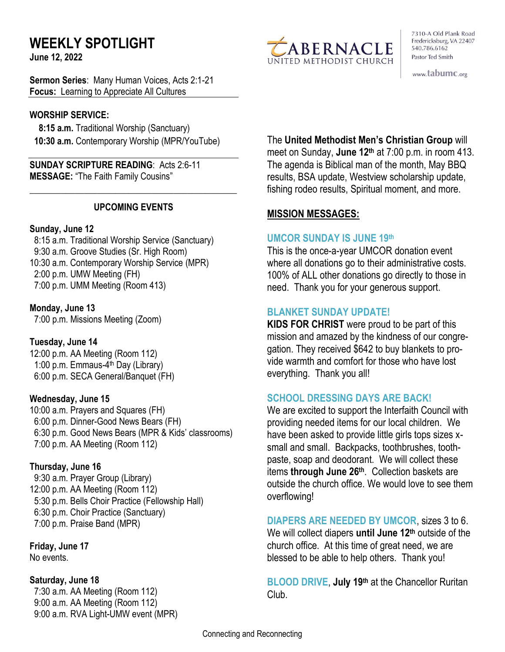# **WEEKLY SPOTLIGHT**

**June 12, 2022** 

**Sermon Series**: Many Human Voices, Acts 2:1-21 **Focus:** Learning to Appreciate All Cultures

## **WORSHIP SERVICE:**

 **8:15 a.m.** Traditional Worship (Sanctuary)  **10:30 a.m.** Contemporary Worship (MPR/YouTube)

**SUNDAY SCRIPTURE READING**: Acts 2:6-11 **MESSAGE:** "The Faith Family Cousins"

## **UPCOMING EVENTS**

\_\_\_\_\_\_\_\_\_\_\_\_\_\_\_\_\_\_\_\_\_\_\_\_\_\_\_\_\_\_\_\_\_\_\_\_\_\_\_\_\_\_\_\_\_\_

### **Sunday, June 12**

8:15 a.m. Traditional Worship Service (Sanctuary) 9:30 a.m. Groove Studies (Sr. High Room) 10:30 a.m. Contemporary Worship Service (MPR) 2:00 p.m. UMW Meeting (FH) 7:00 p.m. UMM Meeting (Room 413)

### **Monday, June 13**

7:00 p.m. Missions Meeting (Zoom)

## **Tuesday, June 14**

12:00 p.m. AA Meeting (Room 112) 1:00 p.m. Emmaus-4<sup>th</sup> Day (Library) 6:00 p.m. SECA General/Banquet (FH)

## **Wednesday, June 15**

10:00 a.m. Prayers and Squares (FH) 6:00 p.m. Dinner-Good News Bears (FH) 6:30 p.m. Good News Bears (MPR & Kids' classrooms) 7:00 p.m. AA Meeting (Room 112)

## **Thursday, June 16**

9:30 a.m. Prayer Group (Library) 12:00 p.m. AA Meeting (Room 112) 5:30 p.m. Bells Choir Practice (Fellowship Hall) 6:30 p.m. Choir Practice (Sanctuary) 7:00 p.m. Praise Band (MPR)

**Friday, June 17** No events.

#### **Saturday, June 18**

 7:30 a.m. AA Meeting (Room 112) 9:00 a.m. AA Meeting (Room 112) 9:00 a.m. RVA Light-UMW event (MPR)



7310-A Old Plank Road Fredericksburg, VA 22407 540.786.6162 Pastor Ted Smith

www.tabumc.org

## The **United Methodist Men's Christian Group** will

meet on Sunday, **June 12th** at 7:00 p.m. in room 413. The agenda is Biblical man of the month, May BBQ results, BSA update, Westview scholarship update, fishing rodeo results, Spiritual moment, and more.

## **MISSION MESSAGES:**

### **UMCOR SUNDAY IS JUNE 19th**

This is the once-a-year UMCOR donation event where all donations go to their administrative costs. 100% of ALL other donations go directly to those in need. Thank you for your generous support.

## **BLANKET SUNDAY UPDATE!**

**KIDS FOR CHRIST** were proud to be part of this mission and amazed by the kindness of our congregation. They received \$642 to buy blankets to provide warmth and comfort for those who have lost everything. Thank you all!

## **SCHOOL DRESSING DAYS ARE BACK!**

We are excited to support the Interfaith Council with providing needed items for our local children. We have been asked to provide little girls tops sizes xsmall and small. Backpacks, toothbrushes, toothpaste, soap and deodorant. We will collect these items **through June 26th** . Collection baskets are outside the church office. We would love to see them overflowing!

## **DIAPERS ARE NEEDED BY UMCOR**, sizes 3 to 6.

We will collect diapers **until June 12th** outside of the church office. At this time of great need, we are blessed to be able to help others. Thank you!

**BLOOD DRIVE**, **July 19th** at the Chancellor Ruritan Club.